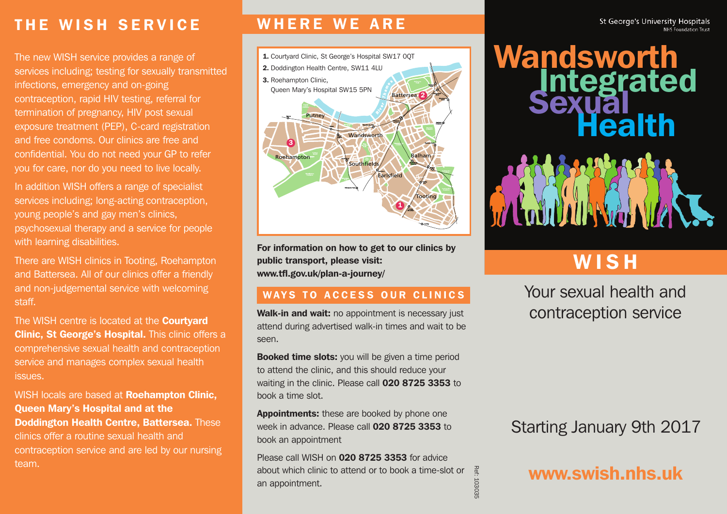# **T H E W I S H S E R V I C E**

The new WISH service provides a range of services including; testing for sexually transmitted infections, emergency and on-going contraception, rapid HIV testing, referral for termination of pregnancy, HIV post sexual exposure treatment (PEP), C-card registration and free condoms. Our clinics are free and confidential. You do not need your GP to refer you for care, nor do you need to live locally.

In addition WISH offers a range of specialist services including; long-acting contraception, young people's and gay men's clinics, psychosexual therapy and a service for people with learning disabilities.

There are WISH clinics in Tooting, Roehampton and Battersea. All of our clinics offer a friendly and non-judgemental service with welcoming staff.

The WISH centre is located at the **Courtyard Clinic, St George's Hospital.** This clinic offers a comprehensive sexual health and contraception service and manages complex sexual health issues.

WISH locals are based at **Roehampton Clinic, Queen Mary's Hospital and at the Doddington Health Centre, Battersea.** These clinics offer a routine sexual health and contraception service and are led by our nursing team.

## **W H E R E W E A R E**



**For information on how to get to our clinics by public transport, please visit: www.tfl.gov.uk/plan-a-journey/**

#### **WAYS TO ACCESS OUR CLINICS**

**Walk-in and wait:** no appointment is necessary just attend during advertised walk-in times and wait to be seen.

**Booked time slots:** you will be given a time period to attend the clinic, and this should reduce your waiting in the clinic. Please call **020 8725 3353** to book a time slot.

**Appointments:** these are booked by phone one week in advance. Please call **020 8725 3353** to book an appointment

Please call WISH on **020 8725 3353** for advice about which clinic to attend or to book a time-slot or an appointment.

Ref: 103035

# **Wandsworth Integrated Sexual Health** WOL

# **W I S H**

Your sexual health and contraception service

# Starting January 9th 2017

**www.swish.nhs.uk**